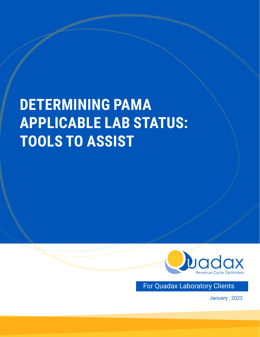# **DETERMINING PAMA APPLICABLE LAB STATUS: TOOLS TO ASSIST**



For Quadax Laboratory Clients

January , 2022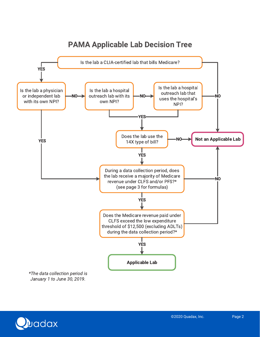

## **PAMA Applicable Lab Decision Tree**

**Dadax**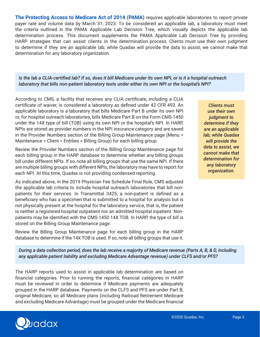**The Protecting Access to Medicare Act of 2014 (PAMA)** requires applicable laboratories to report private payer rate and volume data by March 31, 2023. To be considered an applicable lab, a laboratory must meet the criteria outlined in the PAMA Applicable Lab Decision Tree, which visually depicts the applicable lab determination process. This document supplements the PAMA Applicable Lab Decision Tree by providing HARP strategies that can assist clients in the determination process. Clients must use their own judgment to determine if they are an applicable lab; while Quadax will provide the data to assist, we cannot make that determination for any laboratory organization.

#### *Is the lab a CLIA-certified lab? If so, does it bill Medicare under its own NPI, or is it a hospital outreach laboratory that bills non-patient laboratory tests under either its own NPI or the hospital's NPI?*

According to CMS, a facility that receives any CLIA certificate, including a CLIA certificate of waiver, is considered a laboratory as defined under 42 CFR 493. An applicable laboratory is a laboratory that bills Medicare Part B under its own NPI or, for hospital outreach laboratories, bills Medicare Part B on the Form CMS-1450 under the 14X type of bill (TOB) using its own NPI or the hospital's NPI. In HARP, NPIs are stored as provider numbers in the NPI insurance category and are saved in the Provider Numbers section of the Billing Group Maintenance page (Menu > Maintenance > Client > Entities > Billing Group) for each billing group.

Review the Provider Numbers section of the Billing Group Maintenance page for each billing group in the HARP database to determine whether any billing groups bill under different NPIs. If so, note all billing groups that use the same NPI. If there are multiple billing groups with different NPIs, the laboratory may have to report for each NPI. At this time, Quadax is not providing condensed reporting.

As indicated above, in the 2019 Physician Fee Schedule Final Rule, CMS adjusted the applicable lab criteria to include hospital outreach laboratories that bill nonpatients for their services. In Transmittal 3425, a non-patient is defined as a beneficiary who has a specimen that is submitted to a hospital for analysis but is not physically present at the hospital for the laboratory service, that is, the patient is neither a registered hospital outpatient nor an admitted hospital inpatient. Nonpatients may be identified with the CMS-1450 14X TOB. In HARP, the type of bill is stored on the Billing Group Maintenance page.

Review the Billing Group Maintenance page for each billing group in the HARP database to determine if the 14X TOB is used. If so, note all billing groups that use it.

*Clients must use their own judgment to determine if they are an applicable lab; while Quadax will provide the data to assist, we cannot make that determination for any laboratory organization.* 

*During a data collection period, does the lab receive a majority of Medicare revenue (Parts A, B, & D, including any applicable patient liability and excluding Medicare Advantage revenue) under CLFS and/or PFS?*

The HARP reports used to assist in applicable lab determination are based on financial categories. Prior to running the reports, financial categories in HARP must be reviewed in order to determine if Medicare payments are adequately grouped in the HARP database. Payments on the CLFS and PFS are under Part B, original Medicare, so all Medicare plans (including Railroad Retirement Medicare and excluding Medicare Advantage) must be grouped under the Medicare financial

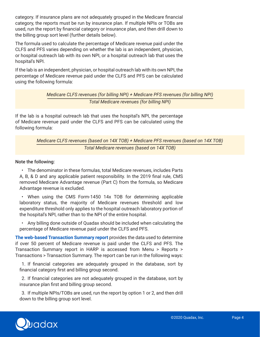category. If insurance plans are not adequately grouped in the Medicare financial category, the reports must be run by insurance plan. If multiple NPIs or TOBs are used, run the report by financial category or insurance plan, and then drill down to the billing group sort level (further details below).

The formula used to calculate the percentage of Medicare revenue paid under the CLFS and PFS varies depending on whether the lab is an independent, physician, or hospital outreach lab with its own NPI, or a hospital outreach lab that uses the hospital's NPI.

If the lab is an independent, physician, or hospital outreach lab with its own NPI, the percentage of Medicare revenue paid under the CLFS and PFS can be calculated using the following formula:

> *Medicare CLFS revenues (for billing NPI) + Medicare PFS revenues (for billing NPI) Total Medicare revenues (for billing NPI)*

If the lab is a hospital outreach lab that uses the hospital's NPI, the percentage of Medicare revenue paid under the CLFS and PFS can be calculated using the following formula:

### *Medicare CLFS revenues (based on 14X TOB) + Medicare PFS revenues (based on 14X TOB) Total Medicare revenues (based on 14X TOB)*

Note the following:

• The denominator in these formulas, total Medicare revenues, includes Parts A, B, & D and any applicable patient responsibility. In the 2019 final rule, CMS removed Medicare Advantage revenue (Part C) from the formula, so Medicare Advantage revenue is excluded.

• When using the CMS Form-1450 14x TOB for determining applicable laboratory status, the majority of Medicare revenues threshold and low expenditure threshold only applies to the hospital outreach laboratory portion of the hospital's NPI, rather than to the NPI of the entire hospital.

• Any billing done outside of Quadax should be included when calculating the percentage of Medicare revenue paid under the CLFS and PFS.

**The web-based Transaction Summary report** provides the data used to determine if over 50 percent of Medicare revenue is paid under the CLFS and PFS. The Transaction Summary report in HARP is accessed from Menu > Reports > Transactions > Transaction Summary. The report can be run in the following ways:

1. If financial categories are adequately grouped in the database, sort by financial category first and billing group second.

2. If financial categories are not adequately grouped in the database, sort by insurance plan first and billing group second.

3. If multiple NPIs/TOBs are used, run the report by option 1 or 2, and then drill down to the billing group sort level.

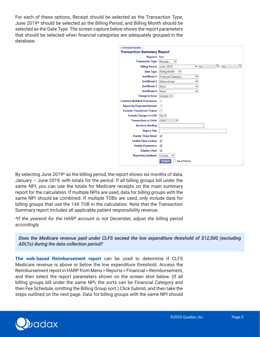For each of these options, Receipt should be selected as the Transaction Type, June 2019\* should be selected as the Billing Period, and Billing Month should be selected as the Date Type. The screen capture below shows the report parameters that should be selected when financial categories are adequately grouped in the database.

| • 1)Previous Reports<br><b>Transaction Summary Report</b> |                                                 |
|-----------------------------------------------------------|-------------------------------------------------|
| Report # New                                              |                                                 |
| <b>Transaction Type</b>                                   | Receipt<br>v                                    |
| <b>Billing Period</b>                                     | To,<br>n/a<br>n/a<br>June, 2019<br>$\checkmark$ |
| Date Type                                                 | <b>Billing Month</b><br>v                       |
| Sort/Break 1                                              | <b>Financial Category</b><br>◡                  |
| Sort/Break 2                                              | $\checkmark$<br><b>Billing Group</b>            |
| Sort/Break 3                                              | None<br>v                                       |
| Sort/Break 4                                              | None<br>◡                                       |
| <b>Charge in Error</b>                                    | Include $\vee$                                  |
| <b>Combine Multilink Procedures</b>                       | □                                               |
| <b>Report by Expected Amount</b>                          |                                                 |
| <b>Exclude Transferred Tickets</b>                        |                                                 |
| <b>Include Charges in CRS</b>                             | $No$ $\vee$                                     |
| <b>Transactions or Units</b>                              | <b>Units</b>                                    |
| <b>Services Heading</b>                                   |                                                 |
| <b>Report Title</b>                                       |                                                 |
| <b>Enable Ticket Detail</b>                               | ✓                                               |
| <b>Enable Harp Lookup</b>                                 | ✓                                               |
| <b>Enable Parameters</b>                                  | ✓                                               |
| <b>Display Chart</b>                                      | ✓                                               |
| <b>Reporting Database</b>                                 | Current                                         |
|                                                           | <b>Submit</b><br><b>Save Parms</b>              |

By selecting June 2019\* as the billing period, the report shows six months of data, January – June 2019, with totals for the period. If all billing groups bill under the same NPI, you can use the totals for Medicare receipts on the main summary report for the calculation. If multiple NPIs are used, data for billing groups with the same NPI should be combined. If multiple TOBs are used, only include data for billing groups that use the 14X TOB in the calculation. Note that the Transaction Summary report includes all applicable patient responsibility revenue.

*\*If the yearend for the HARP account is not December, adjust the billing period accordingly.* 

*Does the Medicare revenue paid under CLFS exceed the low expenditure threshold of \$12,500 (excluding ADLTs) during the data collection period?*

**The web-based Reimbursement report** can be used to determine if CLFS Medicare revenue is above or below the low expenditure threshold. Access the Reimbursement report in HARP from Menu > Reports > Financial > Reimbursement, and then select the report parameters shown on the screen shot below. (If all billing groups bill under the same NPI, the sorts can be Financial Category and then Fee Schedule, omitting the Billing Group sort.) Click Submit, and then take the steps outlined on the next page. Data for billing groups with the same NPI should